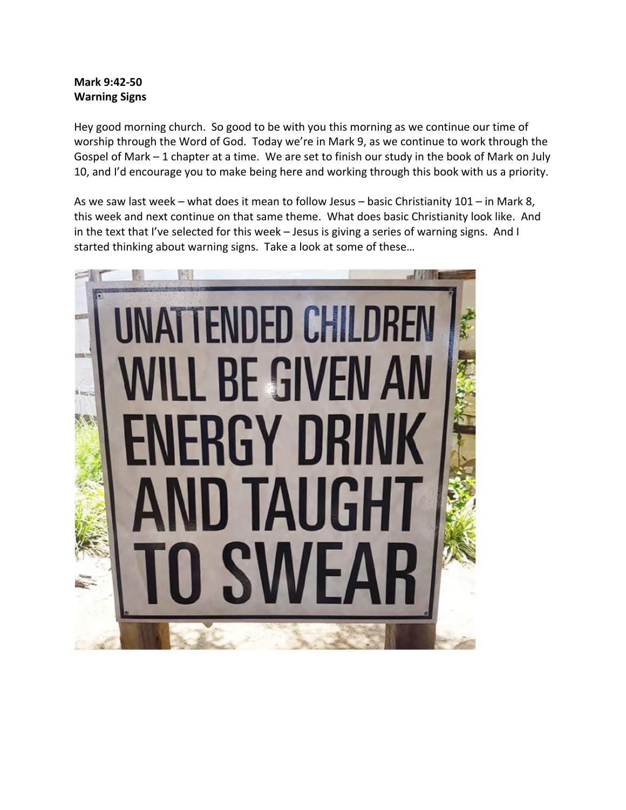## **Mark 9:42-50 Warning Signs**

Hey good morning church. So good to be with you this morning as we continue our time of worship through the Word of God. Today we're in Mark 9, as we continue to work through the Gospel of Mark – 1 chapter at a time. We are set to finish our study in the book of Mark on July 10, and I'd encourage you to make being here and working through this book with us a priority.

As we saw last week – what does it mean to follow Jesus – basic Christianity 101 – in Mark 8, this week and next continue on that same theme. What does basic Christianity look like. And in the text that I've selected for this week – Jesus is giving a series of warning signs. And I started thinking about warning signs. Take a look at some of these…

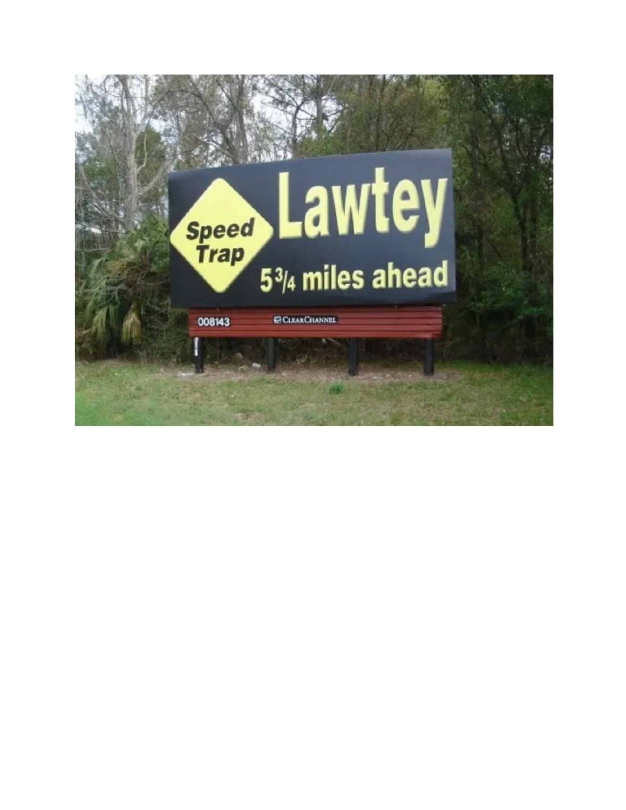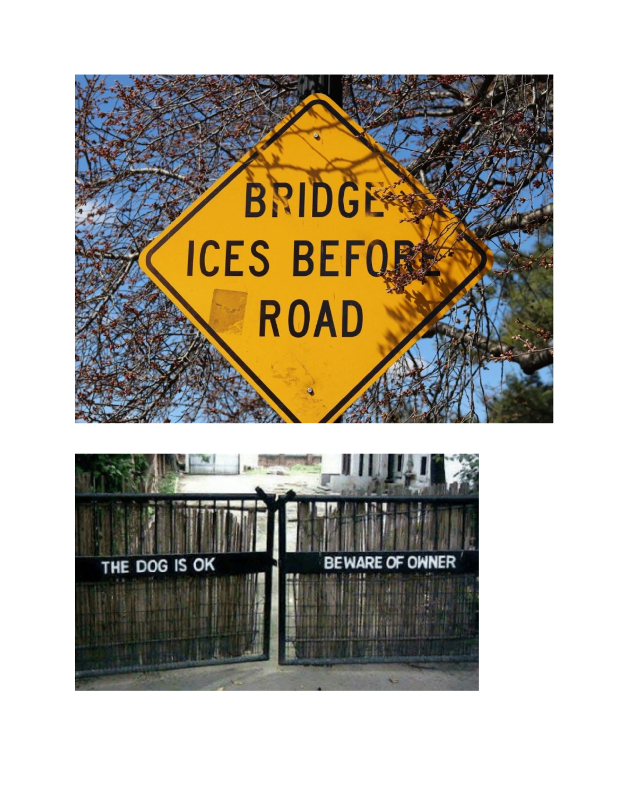

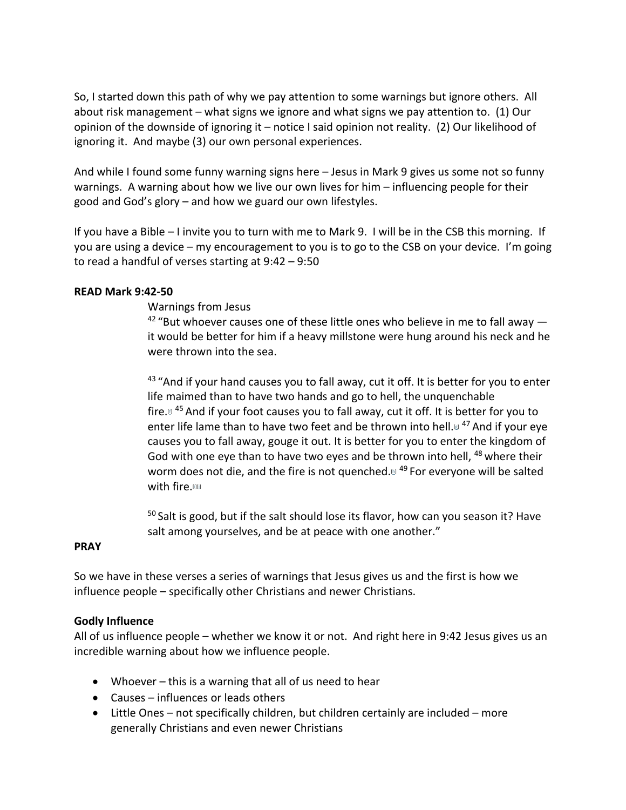So, I started down this path of why we pay attention to some warnings but ignore others. All about risk management – what signs we ignore and what signs we pay attention to. (1) Our opinion of the downside of ignoring it – notice I said opinion not reality. (2) Our likelihood of ignoring it. And maybe (3) our own personal experiences.

And while I found some funny warning signs here – Jesus in Mark 9 gives us some not so funny warnings. A warning about how we live our own lives for him – influencing people for their good and God's glory – and how we guard our own lifestyles.

If you have a Bible – I invite you to turn with me to Mark 9. I will be in the CSB this morning. If you are using a device – my encouragement to you is to go to the CSB on your device. I'm going to read a handful of verses starting at 9:42 – 9:50

#### **READ Mark 9:42-50**

Warnings from Jesus

 $42$  "But whoever causes one of these little ones who believe in me to fall away  $$ it would be better for him if a heavy millstone were hung around his neck and he were thrown into the sea.

<sup>43</sup> "And if your hand causes you to fall away, cut it off. It is better for you to enter life maimed than to have two hands and go to hell, the unquenchable fire. $\mu$  45 And if your foot causes you to fall away, cut it off. It is better for you to enter life lame than to have two feet and be thrown into hell. $\mathbb{I}^4$  And if your eye causes you to fall away, gouge it out. It is better for you to enter the kingdom of God with one eye than to have two eyes and be thrown into hell, <sup>48</sup> where their worm does not die, and the fire is not quenched. $h$   $49$  For everyone will be salted with fire.[j]]

 $50$  Salt is good, but if the salt should lose its flavor, how can you season it? Have salt among yourselves, and be at peace with one another."

### **PRAY**

So we have in these verses a series of warnings that Jesus gives us and the first is how we influence people – specifically other Christians and newer Christians.

### **Godly Influence**

All of us influence people – whether we know it or not. And right here in 9:42 Jesus gives us an incredible warning about how we influence people.

- Whoever this is a warning that all of us need to hear
- Causes influences or leads others
- Little Ones not specifically children, but children certainly are included more generally Christians and even newer Christians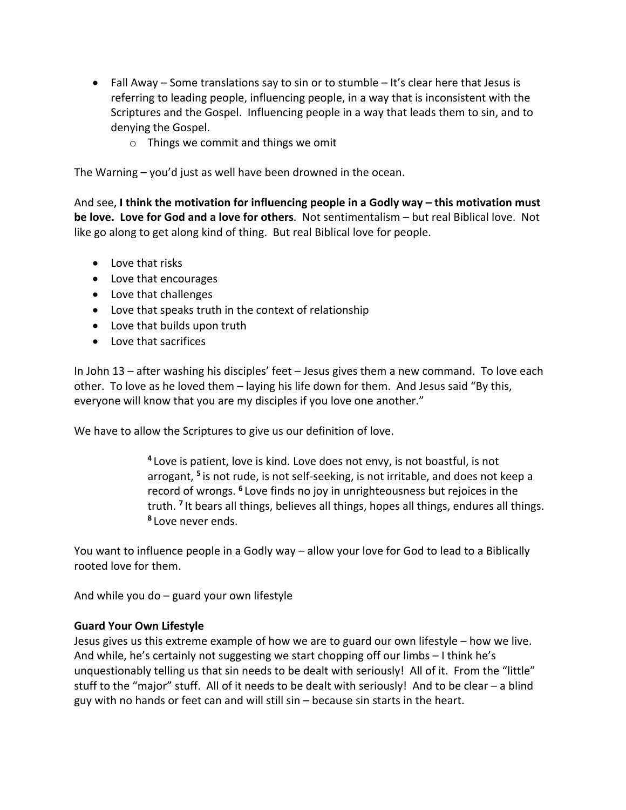- Fall Away Some translations say to sin or to stumble It's clear here that Jesus is referring to leading people, influencing people, in a way that is inconsistent with the Scriptures and the Gospel. Influencing people in a way that leads them to sin, and to denying the Gospel.
	- o Things we commit and things we omit

The Warning – you'd just as well have been drowned in the ocean.

And see, **I think the motivation for influencing people in a Godly way – this motivation must be love. Love for God and a love for others**. Not sentimentalism – but real Biblical love. Not like go along to get along kind of thing. But real Biblical love for people.

- Love that risks
- Love that encourages
- Love that challenges
- Love that speaks truth in the context of relationship
- Love that builds upon truth
- Love that sacrifices

In John 13 – after washing his disciples' feet – Jesus gives them a new command. To love each other. To love as he loved them – laying his life down for them. And Jesus said "By this, everyone will know that you are my disciples if you love one another."

We have to allow the Scriptures to give us our definition of love.

**<sup>4</sup>** Love is patient, love is kind. Love does not envy, is not boastful, is not arrogant, **<sup>5</sup>** is not rude, is not self-seeking, is not irritable, and does not keep a record of wrongs. **<sup>6</sup>** Love finds no joy in unrighteousness but rejoices in the truth. **<sup>7</sup>** It bears all things, believes all things, hopes all things, endures all things. **<sup>8</sup>** Love never ends.

You want to influence people in a Godly way – allow your love for God to lead to a Biblically rooted love for them.

And while you do – guard your own lifestyle

### **Guard Your Own Lifestyle**

Jesus gives us this extreme example of how we are to guard our own lifestyle – how we live. And while, he's certainly not suggesting we start chopping off our limbs – I think he's unquestionably telling us that sin needs to be dealt with seriously! All of it. From the "little" stuff to the "major" stuff. All of it needs to be dealt with seriously! And to be clear – a blind guy with no hands or feet can and will still sin – because sin starts in the heart.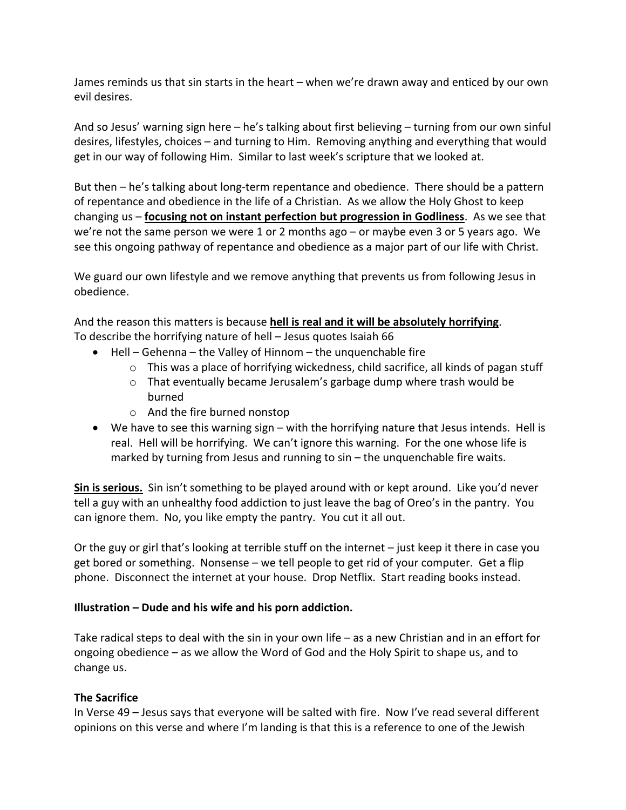James reminds us that sin starts in the heart – when we're drawn away and enticed by our own evil desires.

And so Jesus' warning sign here – he's talking about first believing – turning from our own sinful desires, lifestyles, choices – and turning to Him. Removing anything and everything that would get in our way of following Him. Similar to last week's scripture that we looked at.

But then – he's talking about long-term repentance and obedience. There should be a pattern of repentance and obedience in the life of a Christian. As we allow the Holy Ghost to keep changing us – **focusing not on instant perfection but progression in Godliness**. As we see that we're not the same person we were 1 or 2 months ago – or maybe even 3 or 5 years ago. We see this ongoing pathway of repentance and obedience as a major part of our life with Christ.

We guard our own lifestyle and we remove anything that prevents us from following Jesus in obedience.

And the reason this matters is because **hell is real and it will be absolutely horrifying**. To describe the horrifying nature of hell – Jesus quotes Isaiah 66

- Hell Gehenna the Valley of Hinnom the unquenchable fire
	- $\circ$  This was a place of horrifying wickedness, child sacrifice, all kinds of pagan stuff
	- o That eventually became Jerusalem's garbage dump where trash would be burned
	- o And the fire burned nonstop
- We have to see this warning sign with the horrifying nature that Jesus intends. Hell is real. Hell will be horrifying. We can't ignore this warning. For the one whose life is marked by turning from Jesus and running to sin – the unquenchable fire waits.

**Sin is serious.** Sin isn't something to be played around with or kept around. Like you'd never tell a guy with an unhealthy food addiction to just leave the bag of Oreo's in the pantry. You can ignore them. No, you like empty the pantry. You cut it all out.

Or the guy or girl that's looking at terrible stuff on the internet – just keep it there in case you get bored or something. Nonsense – we tell people to get rid of your computer. Get a flip phone. Disconnect the internet at your house. Drop Netflix. Start reading books instead.

### **Illustration – Dude and his wife and his porn addiction.**

Take radical steps to deal with the sin in your own life – as a new Christian and in an effort for ongoing obedience – as we allow the Word of God and the Holy Spirit to shape us, and to change us.

# **The Sacrifice**

In Verse 49 – Jesus says that everyone will be salted with fire. Now I've read several different opinions on this verse and where I'm landing is that this is a reference to one of the Jewish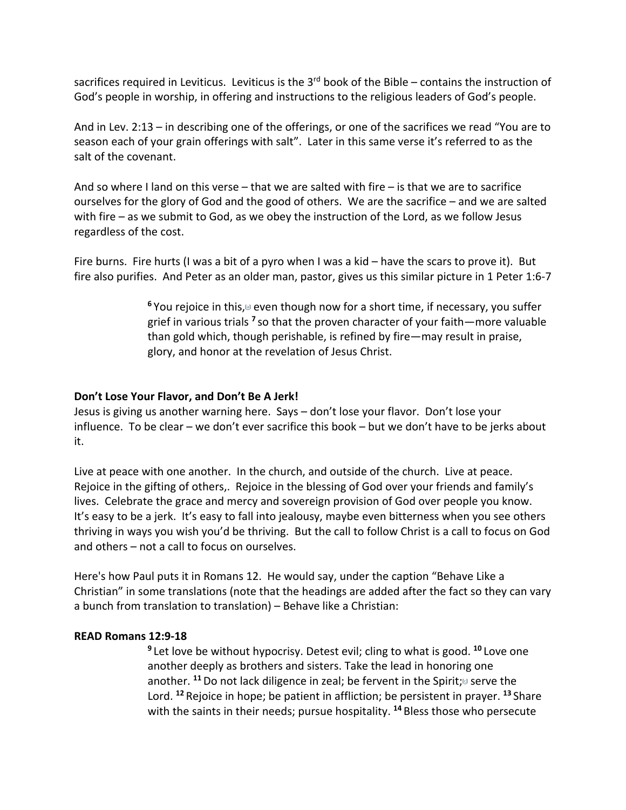sacrifices required in Leviticus. Leviticus is the  $3<sup>rd</sup>$  book of the Bible – contains the instruction of God's people in worship, in offering and instructions to the religious leaders of God's people.

And in Lev. 2:13 – in describing one of the offerings, or one of the sacrifices we read "You are to season each of your grain offerings with salt". Later in this same verse it's referred to as the salt of the covenant.

And so where I land on this verse  $-$  that we are salted with fire  $-$  is that we are to sacrifice ourselves for the glory of God and the good of others. We are the sacrifice – and we are salted with fire – as we submit to God, as we obey the instruction of the Lord, as we follow Jesus regardless of the cost.

Fire burns. Fire hurts (I was a bit of a pyro when I was a kid – have the scars to prove it). But fire also purifies. And Peter as an older man, pastor, gives us this similar picture in 1 Peter 1:6-7

> **6** You rejoice in this, a even though now for a short time, if necessary, you suffer grief in various trials **<sup>7</sup>** so that the proven character of your faith—more valuable than gold which, though perishable, is refined by fire—may result in praise, glory, and honor at the revelation of Jesus Christ.

### **Don't Lose Your Flavor, and Don't Be A Jerk!**

Jesus is giving us another warning here. Says – don't lose your flavor. Don't lose your influence. To be clear – we don't ever sacrifice this book – but we don't have to be jerks about it.

Live at peace with one another. In the church, and outside of the church. Live at peace. Rejoice in the gifting of others,. Rejoice in the blessing of God over your friends and family's lives. Celebrate the grace and mercy and sovereign provision of God over people you know. It's easy to be a jerk. It's easy to fall into jealousy, maybe even bitterness when you see others thriving in ways you wish you'd be thriving. But the call to follow Christ is a call to focus on God and others – not a call to focus on ourselves.

Here's how Paul puts it in Romans 12. He would say, under the caption "Behave Like a Christian" in some translations (note that the headings are added after the fact so they can vary a bunch from translation to translation) – Behave like a Christian:

### **READ Romans 12:9-18**

**<sup>9</sup>** Let love be without hypocrisy. Detest evil; cling to what is good. **<sup>10</sup>** Love one another deeply as brothers and sisters. Take the lead in honoring one another.  $11$  Do not lack diligence in zeal; be fervent in the Spirit; $\alpha$  serve the Lord. **<sup>12</sup>** Rejoice in hope; be patient in affliction; be persistent in prayer. **<sup>13</sup>** Share with the saints in their needs; pursue hospitality. **<sup>14</sup>** Bless those who persecute